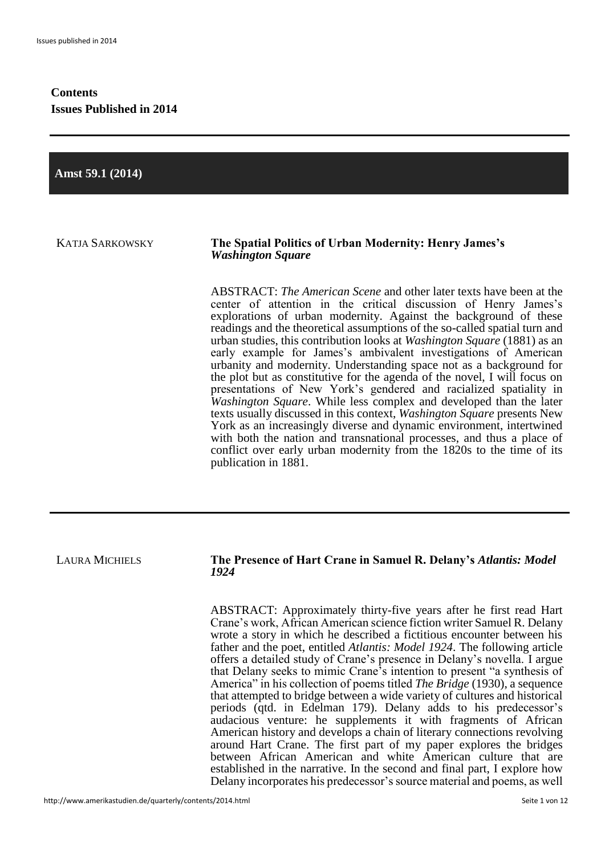### **Contents Issues Published in 2014**

**Amst 59.1 (2014)**

#### KATJA SARKOWSKY **The Spatial Politics of Urban Modernity: Henry James's**  *Washington Square*

ABSTRACT: *The American Scene* and other later texts have been at the center of attention in the critical discussion of Henry James's explorations of urban modernity. Against the background of these readings and the theoretical assumptions of the so-called spatial turn and urban studies, this contribution looks at *Washington Square* (1881) as an early example for James's ambivalent investigations of American urbanity and modernity. Understanding space not as a background for the plot but as constitutive for the agenda of the novel, I will focus on presentations of New York's gendered and racialized spatiality in *Washington Square*. While less complex and developed than the later texts usually discussed in this context, *Washington Square* presents New York as an increasingly diverse and dynamic environment, intertwined with both the nation and transnational processes, and thus a place of conflict over early urban modernity from the 1820s to the time of its publication in 1881.

#### LAURA MICHIELS **The Presence of Hart Crane in Samuel R. Delany's** *Atlantis: Model 1924*

ABSTRACT: Approximately thirty-five years after he first read Hart Crane's work, African American science fiction writer Samuel R. Delany wrote a story in which he described a fictitious encounter between his father and the poet, entitled *Atlantis: Model 1924*. The following article offers a detailed study of Crane's presence in Delany's novella. I argue that Delany seeks to mimic Crane's intention to present "a synthesis of America" in his collection of poems titled *The Bridge* (1930), a sequence that attempted to bridge between a wide variety of cultures and historical periods (qtd. in Edelman 179). Delany adds to his predecessor's audacious venture: he supplements it with fragments of African American history and develops a chain of literary connections revolving around Hart Crane. The first part of my paper explores the bridges between African American and white American culture that are established in the narrative. In the second and final part, I explore how Delany incorporates his predecessor's source material and poems, as well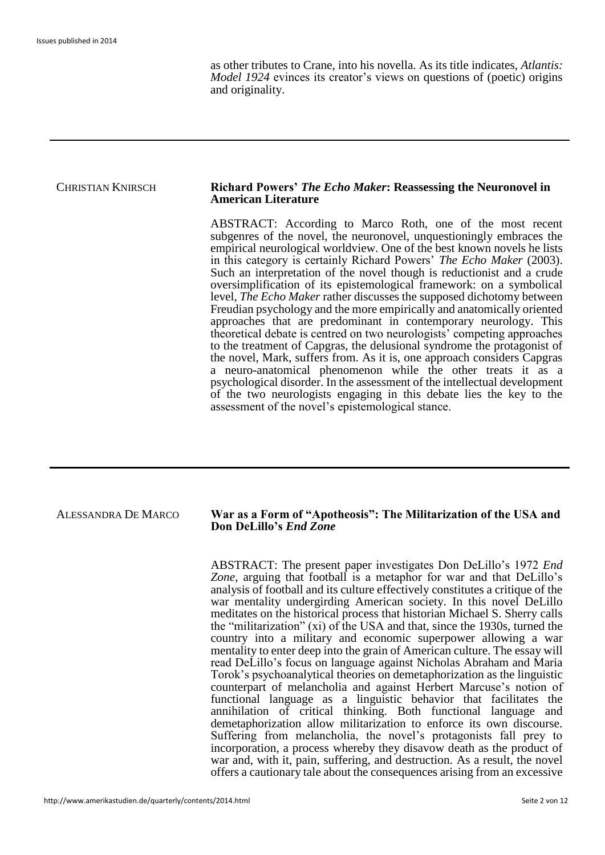as other tributes to Crane, into his novella. As its title indicates, *Atlantis: Model 1924* evinces its creator's views on questions of (poetic) origins and originality.

#### CHRISTIAN KNIRSCH **Richard Powers'** *The Echo Maker***: Reassessing the Neuronovel in American Literature**

ABSTRACT: According to Marco Roth, one of the most recent subgenres of the novel, the neuronovel, unquestioningly embraces the empirical neurological worldview. One of the best known novels he lists in this category is certainly Richard Powers' *The Echo Maker* (2003). Such an interpretation of the novel though is reductionist and a crude oversimplification of its epistemological framework: on a symbolical level, *The Echo Maker* rather discusses the supposed dichotomy between Freudian psychology and the more empirically and anatomically oriented approaches that are predominant in contemporary neurology. This theoretical debate is centred on two neurologists' competing approaches to the treatment of Capgras, the delusional syndrome the protagonist of the novel, Mark, suffers from. As it is, one approach considers Capgras a neuro-anatomical phenomenon while the other treats it as a psychological disorder. In the assessment of the intellectual development of the two neurologists engaging in this debate lies the key to the assessment of the novel's epistemological stance.

#### ALESSANDRA DE MARCO **War as a Form of "Apotheosis": The Militarization of the USA and Don DeLillo's** *End Zone*

ABSTRACT: The present paper investigates Don DeLillo's 1972 *End Zone*, arguing that football is a metaphor for war and that DeLillo's analysis of football and its culture effectively constitutes a critique of the war mentality undergirding American society. In this novel DeLillo meditates on the historical process that historian Michael S. Sherry calls the "militarization" (xi) of the USA and that, since the 1930s, turned the country into a military and economic superpower allowing a war mentality to enter deep into the grain of American culture. The essay will read DeLillo's focus on language against Nicholas Abraham and Maria Torok's psychoanalytical theories on demetaphorization as the linguistic counterpart of melancholia and against Herbert Marcuse's notion of functional language as a linguistic behavior that facilitates the annihilation of critical thinking. Both functional language and demetaphorization allow militarization to enforce its own discourse. Suffering from melancholia, the novel's protagonists fall prey to incorporation, a process whereby they disavow death as the product of war and, with it, pain, suffering, and destruction. As a result, the novel offers a cautionary tale about the consequences arising from an excessive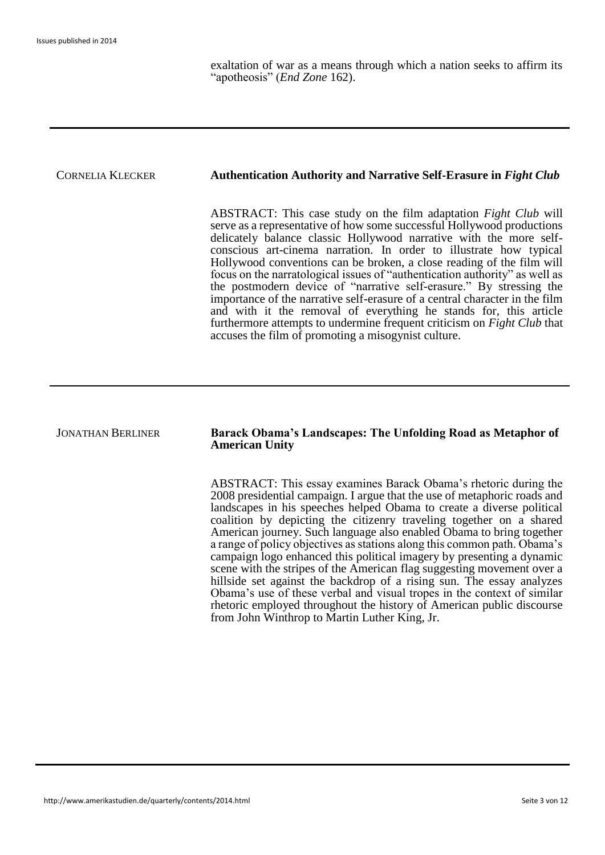exaltation of war as a means through which a nation seeks to affirm its "apotheosis" (*End Zone* 162).

## CORNELIA KLECKER **Authentication Authority and Narrative Self-Erasure in** *Fight Club* ABSTRACT: This case study on the film adaptation *Fight Club* will serve as a representative of how some successful Hollywood productions delicately balance classic Hollywood narrative with the more selfconscious art-cinema narration. In order to illustrate how typical Hollywood conventions can be broken, a close reading of the film will focus on the narratological issues of "authentication authority" as well as the postmodern device of "narrative self-erasure." By stressing the importance of the narrative self-erasure of a central character in the film and with it the removal of everything he stands for, this article furthermore attempts to undermine frequent criticism on *Fight Club* that accuses the film of promoting a misogynist culture.

# JONATHAN BERLINER **Barack Obama's Landscapes: The Unfolding Road as Metaphor of American Unity** ABSTRACT: This essay examines Barack Obama's rhetoric during the

2008 presidential campaign. I argue that the use of metaphoric roads and landscapes in his speeches helped Obama to create a diverse political coalition by depicting the citizenry traveling together on a shared American journey. Such language also enabled Obama to bring together a range of policy objectives as stations along this common path. Obama's campaign logo enhanced this political imagery by presenting a dynamic scene with the stripes of the American flag suggesting movement over a hillside set against the backdrop of a rising sun. The essay analyzes Obama's use of these verbal and visual tropes in the context of similar rhetoric employed throughout the history of American public discourse from John Winthrop to Martin Luther King, Jr.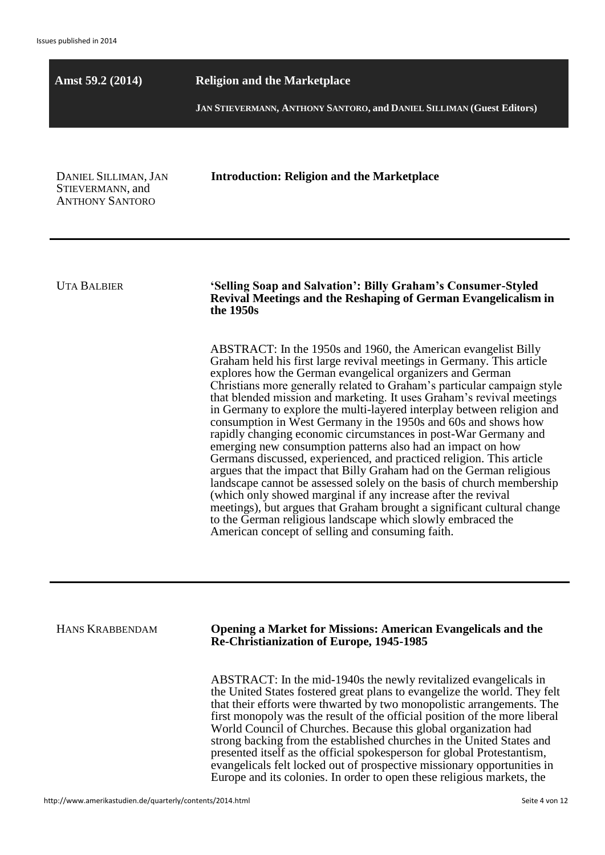**Amst 59.2 (2014) Religion and the Marketplace**

**JAN STIEVERMANN, ANTHONY SANTORO, and DANIEL SILLIMAN (Guest Editors)**

DANIEL SILLIMAN, JAN STIEVERMANN, and ANTHONY SANTORO

**Introduction: Religion and the Marketplace**

UTA BALBIER **'Selling Soap and Salvation': Billy Graham's Consumer-Styled Revival Meetings and the Reshaping of German Evangelicalism in the 1950s**

> ABSTRACT: In the 1950s and 1960, the American evangelist Billy Graham held his first large revival meetings in Germany. This article explores how the German evangelical organizers and German Christians more generally related to Graham's particular campaign style that blended mission and marketing. It uses Graham's revival meetings in Germany to explore the multi-layered interplay between religion and consumption in West Germany in the 1950s and 60s and shows how rapidly changing economic circumstances in post-War Germany and emerging new consumption patterns also had an impact on how Germans discussed, experienced, and practiced religion. This article argues that the impact that Billy Graham had on the German religious landscape cannot be assessed solely on the basis of church membership (which only showed marginal if any increase after the revival meetings), but argues that Graham brought a significant cultural change to the German religious landscape which slowly embraced the American concept of selling and consuming faith.

HANS KRABBENDAM **Opening a Market for Missions: American Evangelicals and the Re-Christianization of Europe, 1945-1985**

> ABSTRACT: In the mid-1940s the newly revitalized evangelicals in the United States fostered great plans to evangelize the world. They felt that their efforts were thwarted by two monopolistic arrangements. The first monopoly was the result of the official position of the more liberal World Council of Churches. Because this global organization had strong backing from the established churches in the United States and presented itself as the official spokesperson for global Protestantism, evangelicals felt locked out of prospective missionary opportunities in Europe and its colonies. In order to open these religious markets, the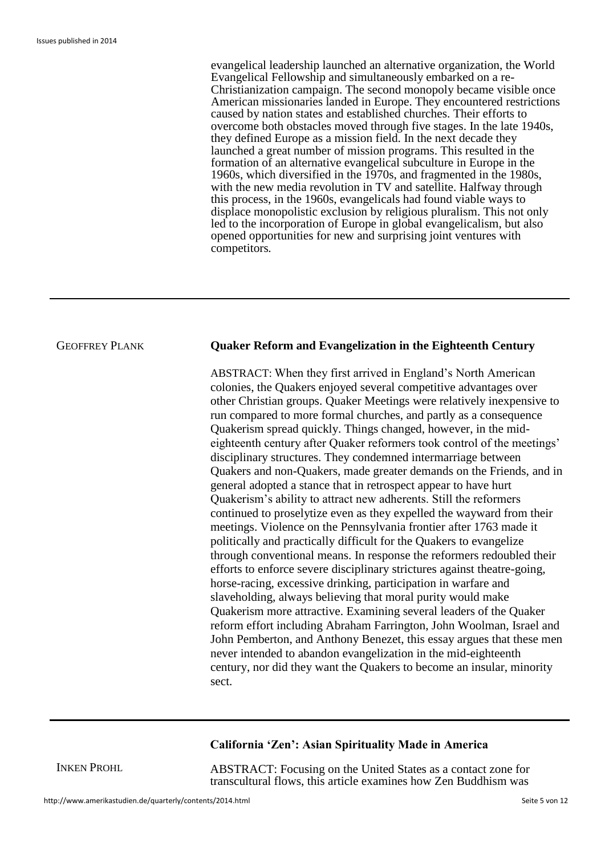evangelical leadership launched an alternative organization, the World Evangelical Fellowship and simultaneously embarked on a re-Christianization campaign. The second monopoly became visible once American missionaries landed in Europe. They encountered restrictions caused by nation states and established churches. Their efforts to overcome both obstacles moved through five stages. In the late 1940s, they defined Europe as a mission field. In the next decade they launched a great number of mission programs. This resulted in the formation of an alternative evangelical subculture in Europe in the 1960s, which diversified in the 1970s, and fragmented in the 1980s, with the new media revolution in TV and satellite. Halfway through this process, in the 1960s, evangelicals had found viable ways to displace monopolistic exclusion by religious pluralism. This not only led to the incorporation of Europe in global evangelicalism, but also opened opportunities for new and surprising joint ventures with competitors*.*

#### GEOFFREY PLANK **Quaker Reform and Evangelization in the Eighteenth Century**

ABSTRACT: When they first arrived in England's North American colonies, the Quakers enjoyed several competitive advantages over other Christian groups. Quaker Meetings were relatively inexpensive to run compared to more formal churches, and partly as a consequence Quakerism spread quickly. Things changed, however, in the mideighteenth century after Quaker reformers took control of the meetings' disciplinary structures. They condemned intermarriage between Quakers and non-Quakers, made greater demands on the Friends, and in general adopted a stance that in retrospect appear to have hurt Quakerism's ability to attract new adherents. Still the reformers continued to proselytize even as they expelled the wayward from their meetings. Violence on the Pennsylvania frontier after 1763 made it politically and practically difficult for the Quakers to evangelize through conventional means. In response the reformers redoubled their efforts to enforce severe disciplinary strictures against theatre-going, horse-racing, excessive drinking, participation in warfare and slaveholding, always believing that moral purity would make Quakerism more attractive. Examining several leaders of the Quaker reform effort including Abraham Farrington, John Woolman, Israel and John Pemberton, and Anthony Benezet, this essay argues that these men never intended to abandon evangelization in the mid-eighteenth century, nor did they want the Quakers to become an insular, minority sect.

#### **California 'Zen': Asian Spirituality Made in America**

INKEN PROHL

ABSTRACT: Focusing on the United States as a contact zone for transcultural flows, this article examines how Zen Buddhism was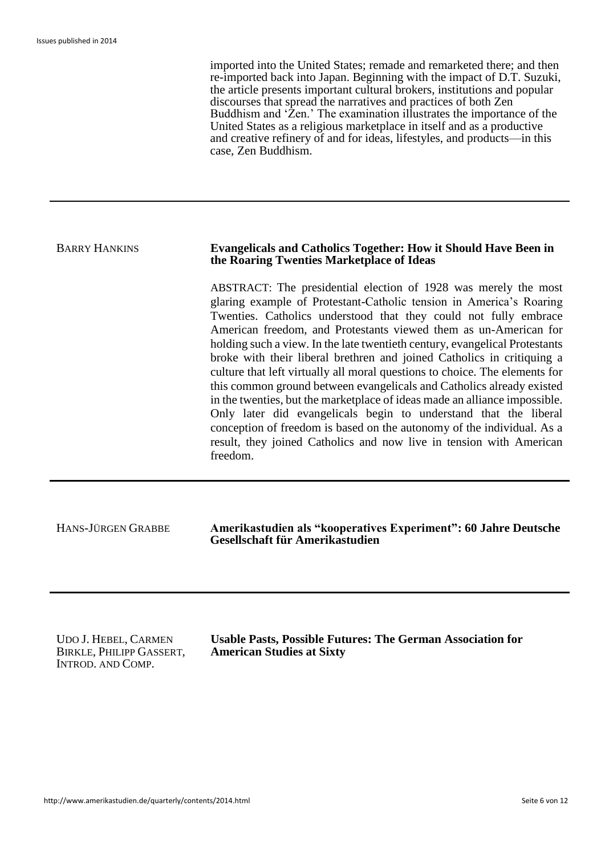imported into the United States; remade and remarketed there; and then re-imported back into Japan. Beginning with the impact of D.T. Suzuki, the article presents important cultural brokers, institutions and popular discourses that spread the narratives and practices of both Zen Buddhism and 'Zen.' The examination illustrates the importance of the United States as a religious marketplace in itself and as a productive and creative refinery of and for ideas, lifestyles, and products—in this case, Zen Buddhism.

#### BARRY HANKINS **Evangelicals and Catholics Together: How it Should Have Been in the Roaring Twenties Marketplace of Ideas**

ABSTRACT: The presidential election of 1928 was merely the most glaring example of Protestant-Catholic tension in America's Roaring Twenties. Catholics understood that they could not fully embrace American freedom, and Protestants viewed them as un-American for holding such a view. In the late twentieth century, evangelical Protestants broke with their liberal brethren and joined Catholics in critiquing a culture that left virtually all moral questions to choice. The elements for this common ground between evangelicals and Catholics already existed in the twenties, but the marketplace of ideas made an alliance impossible. Only later did evangelicals begin to understand that the liberal conception of freedom is based on the autonomy of the individual. As a result, they joined Catholics and now live in tension with American freedom.

HANS-JÜRGEN GRABBE **Amerikastudien als "kooperatives Experiment": 60 Jahre Deutsche Gesellschaft für Amerikastudien**

UDO J. HEBEL, CARMEN BIRKLE, PHILIPP GASSERT, INTROD. AND COMP.

**Usable Pasts, Possible Futures: The German Association for American Studies at Sixty**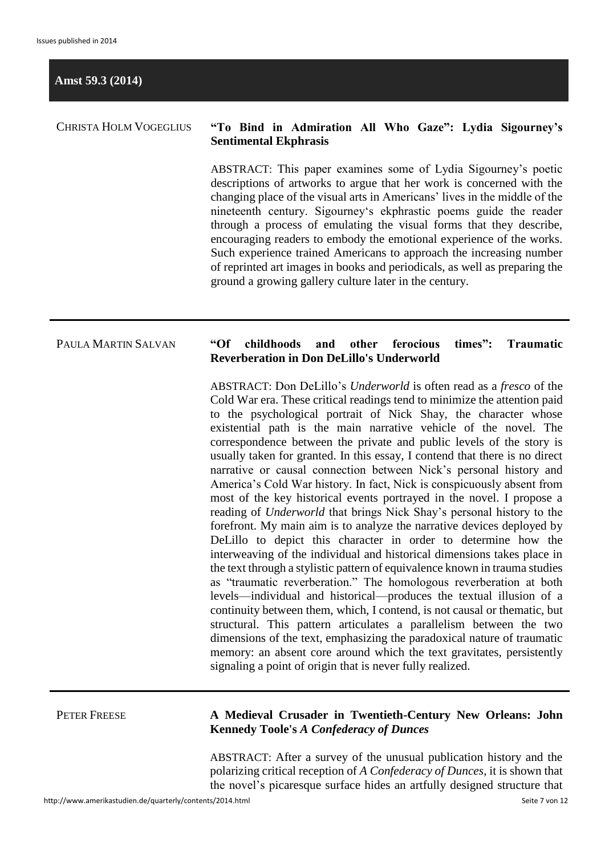#### **Amst 59.3 (2014)**

### CHRISTA HOLM VOGEGLIUS **"To Bind in Admiration All Who Gaze": Lydia Sigourney's Sentimental Ekphrasis**

ABSTRACT: This paper examines some of Lydia Sigourney's poetic descriptions of artworks to argue that her work is concerned with the changing place of the visual arts in Americans' lives in the middle of the nineteenth century. Sigourney's ekphrastic poems guide the reader through a process of emulating the visual forms that they describe, encouraging readers to embody the emotional experience of the works. Such experience trained Americans to approach the increasing number of reprinted art images in books and periodicals, as well as preparing the ground a growing gallery culture later in the century.

#### PAULA MARTIN SALVAN **"Of childhoods and other ferocious times": Traumatic Reverberation in Don DeLillo's Underworld**

ABSTRACT: Don DeLillo's *Underworld* is often read as a *fresco* of the Cold War era. These critical readings tend to minimize the attention paid to the psychological portrait of Nick Shay, the character whose existential path is the main narrative vehicle of the novel. The correspondence between the private and public levels of the story is usually taken for granted. In this essay, I contend that there is no direct narrative or causal connection between Nick's personal history and America's Cold War history. In fact, Nick is conspicuously absent from most of the key historical events portrayed in the novel. I propose a reading of *Underworld* that brings Nick Shay's personal history to the forefront. My main aim is to analyze the narrative devices deployed by DeLillo to depict this character in order to determine how the interweaving of the individual and historical dimensions takes place in the text through a stylistic pattern of equivalence known in trauma studies as "traumatic reverberation." The homologous reverberation at both levels—individual and historical—produces the textual illusion of a continuity between them, which, I contend, is not causal or thematic, but structural. This pattern articulates a parallelism between the two dimensions of the text, emphasizing the paradoxical nature of traumatic memory: an absent core around which the text gravitates, persistently signaling a point of origin that is never fully realized.

#### PETER FREESE **A Medieval Crusader in Twentieth-Century New Orleans: John Kennedy Toole's** *A Confederacy of Dunces*

ABSTRACT: After a survey of the unusual publication history and the polarizing critical reception of *A Confederacy of Dunces*, it is shown that the novel's picaresque surface hides an artfully designed structure that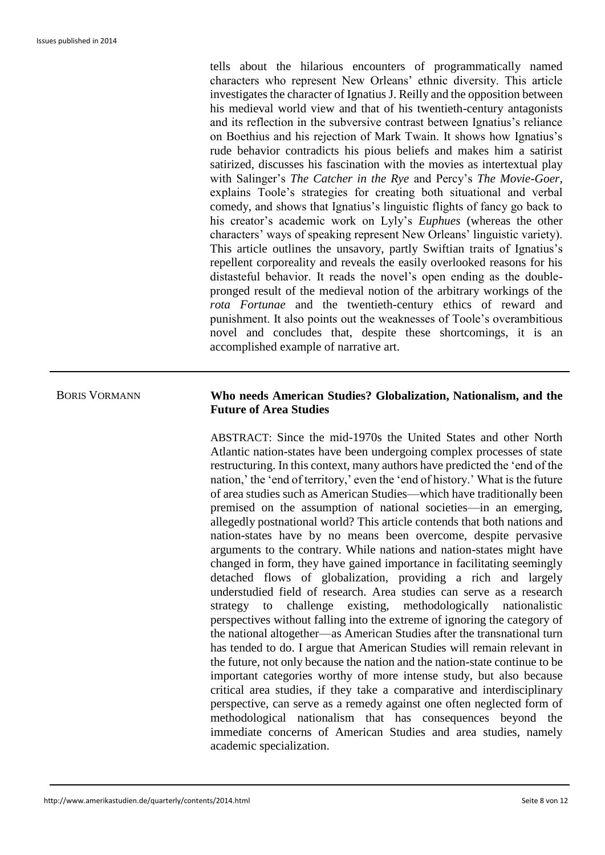tells about the hilarious encounters of programmatically named characters who represent New Orleans' ethnic diversity. This article investigates the character of Ignatius J. Reilly and the opposition between his medieval world view and that of his twentieth-century antagonists and its reflection in the subversive contrast between Ignatius's reliance on Boethius and his rejection of Mark Twain. It shows how Ignatius's rude behavior contradicts his pious beliefs and makes him a satirist satirized, discusses his fascination with the movies as intertextual play with Salinger's *The Catcher in the Rye* and Percy's *The Movie-Goer*, explains Toole's strategies for creating both situational and verbal comedy, and shows that Ignatius's linguistic flights of fancy go back to his creator's academic work on Lyly's *Euphues* (whereas the other characters' ways of speaking represent New Orleans' linguistic variety). This article outlines the unsavory, partly Swiftian traits of Ignatius's repellent corporeality and reveals the easily overlooked reasons for his distasteful behavior. It reads the novel's open ending as the doublepronged result of the medieval notion of the arbitrary workings of the *rota Fortunae* and the twentieth-century ethics of reward and punishment. It also points out the weaknesses of Toole's overambitious novel and concludes that, despite these shortcomings, it is an accomplished example of narrative art.

#### BORIS VORMANN **Who needs American Studies? Globalization, Nationalism, and the Future of Area Studies**

ABSTRACT: Since the mid-1970s the United States and other North Atlantic nation-states have been undergoing complex processes of state restructuring. In this context, many authors have predicted the 'end of the nation,' the 'end of territory,' even the 'end of history.' What is the future of area studies such as American Studies—which have traditionally been premised on the assumption of national societies—in an emerging, allegedly postnational world? This article contends that both nations and nation-states have by no means been overcome, despite pervasive arguments to the contrary. While nations and nation-states might have changed in form, they have gained importance in facilitating seemingly detached flows of globalization, providing a rich and largely understudied field of research. Area studies can serve as a research strategy to challenge existing, methodologically nationalistic perspectives without falling into the extreme of ignoring the category of the national altogether—as American Studies after the transnational turn has tended to do. I argue that American Studies will remain relevant in the future, not only because the nation and the nation-state continue to be important categories worthy of more intense study, but also because critical area studies, if they take a comparative and interdisciplinary perspective, can serve as a remedy against one often neglected form of methodological nationalism that has consequences beyond the immediate concerns of American Studies and area studies, namely academic specialization.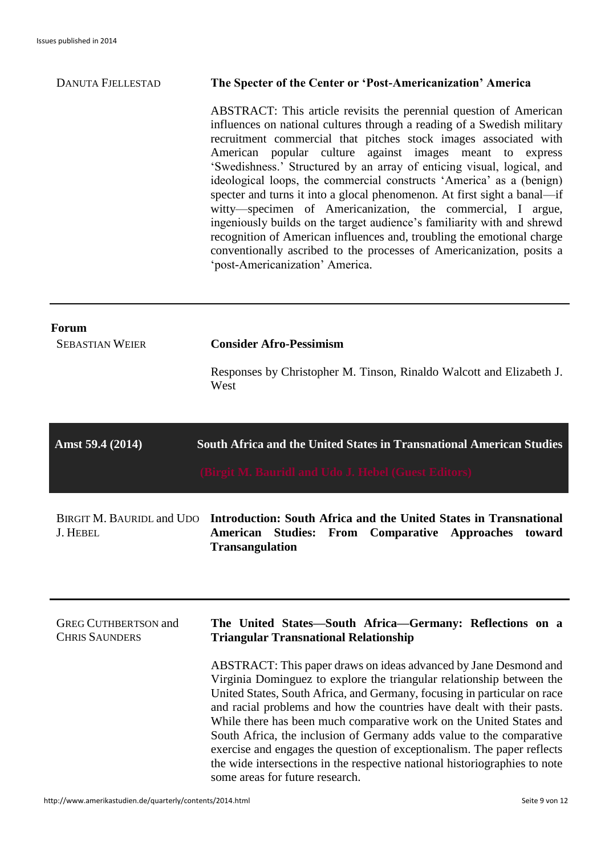### DANUTA FJELLESTAD **The Specter of the Center or 'Post-Americanization' America**

ABSTRACT: This article revisits the perennial question of American influences on national cultures through a reading of a Swedish military recruitment commercial that pitches stock images associated with American popular culture against images meant to express 'Swedishness.' Structured by an array of enticing visual, logical, and ideological loops, the commercial constructs 'America' as a (benign) specter and turns it into a glocal phenomenon. At first sight a banal—if witty—specimen of Americanization, the commercial, I argue, ingeniously builds on the target audience's familiarity with and shrewd recognition of American influences and, troubling the emotional charge conventionally ascribed to the processes of Americanization, posits a 'post-Americanization' America.

| <b>Forum</b><br><b>SEBASTIAN WEIER</b>               | <b>Consider Afro-Pessimism</b><br>Responses by Christopher M. Tinson, Rinaldo Walcott and Elizabeth J.<br>West                                                                                                                                                                                                                                                                                                                                                                                                                                                                                                                                                                                                                                         |
|------------------------------------------------------|--------------------------------------------------------------------------------------------------------------------------------------------------------------------------------------------------------------------------------------------------------------------------------------------------------------------------------------------------------------------------------------------------------------------------------------------------------------------------------------------------------------------------------------------------------------------------------------------------------------------------------------------------------------------------------------------------------------------------------------------------------|
| Amst 59.4 (2014)                                     | South Africa and the United States in Transnational American Studies<br>(Birgit M. Bauridl and Udo J. Hebel (Guest Editors)                                                                                                                                                                                                                                                                                                                                                                                                                                                                                                                                                                                                                            |
| <b>BIRGIT M. BAURIDL and UDO</b><br><b>J. HEBEL</b>  | Introduction: South Africa and the United States in Transnational<br>American<br><b>Studies: From Comparative Approaches</b><br>toward<br><b>Transangulation</b>                                                                                                                                                                                                                                                                                                                                                                                                                                                                                                                                                                                       |
| <b>GREG CUTHBERTSON and</b><br><b>CHRIS SAUNDERS</b> | The United States-South Africa-Germany: Reflections on a<br><b>Triangular Transnational Relationship</b><br>ABSTRACT: This paper draws on ideas advanced by Jane Desmond and<br>Virginia Dominguez to explore the triangular relationship between the<br>United States, South Africa, and Germany, focusing in particular on race<br>and racial problems and how the countries have dealt with their pasts.<br>While there has been much comparative work on the United States and<br>South Africa, the inclusion of Germany adds value to the comparative<br>exercise and engages the question of exceptionalism. The paper reflects<br>the wide intersections in the respective national historiographies to note<br>some areas for future research. |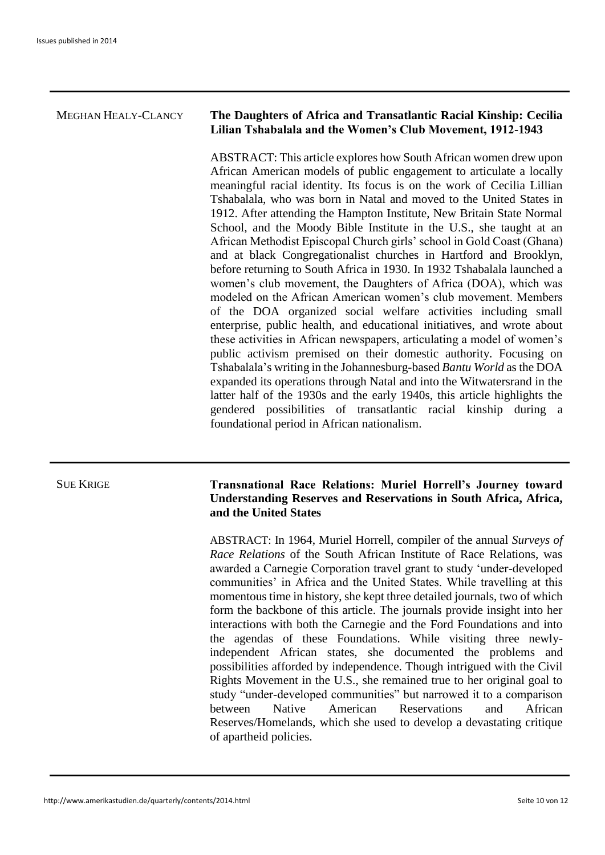### MEGHAN HEALY-CLANCY **The Daughters of Africa and Transatlantic Racial Kinship: Cecilia Lilian Tshabalala and the Women's Club Movement, 1912-1943**

ABSTRACT: This article explores how South African women drew upon African American models of public engagement to articulate a locally meaningful racial identity. Its focus is on the work of Cecilia Lillian Tshabalala, who was born in Natal and moved to the United States in 1912. After attending the Hampton Institute, New Britain State Normal School, and the Moody Bible Institute in the U.S., she taught at an African Methodist Episcopal Church girls' school in Gold Coast (Ghana) and at black Congregationalist churches in Hartford and Brooklyn, before returning to South Africa in 1930. In 1932 Tshabalala launched a women's club movement, the Daughters of Africa (DOA), which was modeled on the African American women's club movement. Members of the DOA organized social welfare activities including small enterprise, public health, and educational initiatives, and wrote about these activities in African newspapers, articulating a model of women's public activism premised on their domestic authority. Focusing on Tshabalala's writing in the Johannesburg-based *Bantu World* as the DOA expanded its operations through Natal and into the Witwatersrand in the latter half of the 1930s and the early 1940s, this article highlights the gendered possibilities of transatlantic racial kinship during a foundational period in African nationalism.

#### SUE KRIGE **Transnational Race Relations: Muriel Horrell's Journey toward Understanding Reserves and Reservations in South Africa, Africa, and the United States**

ABSTRACT: In 1964, Muriel Horrell, compiler of the annual *Surveys of Race Relations* of the South African Institute of Race Relations, was awarded a Carnegie Corporation travel grant to study 'under-developed communities' in Africa and the United States. While travelling at this momentous time in history, she kept three detailed journals, two of which form the backbone of this article. The journals provide insight into her interactions with both the Carnegie and the Ford Foundations and into the agendas of these Foundations. While visiting three newlyindependent African states, she documented the problems and possibilities afforded by independence. Though intrigued with the Civil Rights Movement in the U.S., she remained true to her original goal to study "under-developed communities" but narrowed it to a comparison between Native American Reservations and African Reserves/Homelands, which she used to develop a devastating critique of apartheid policies.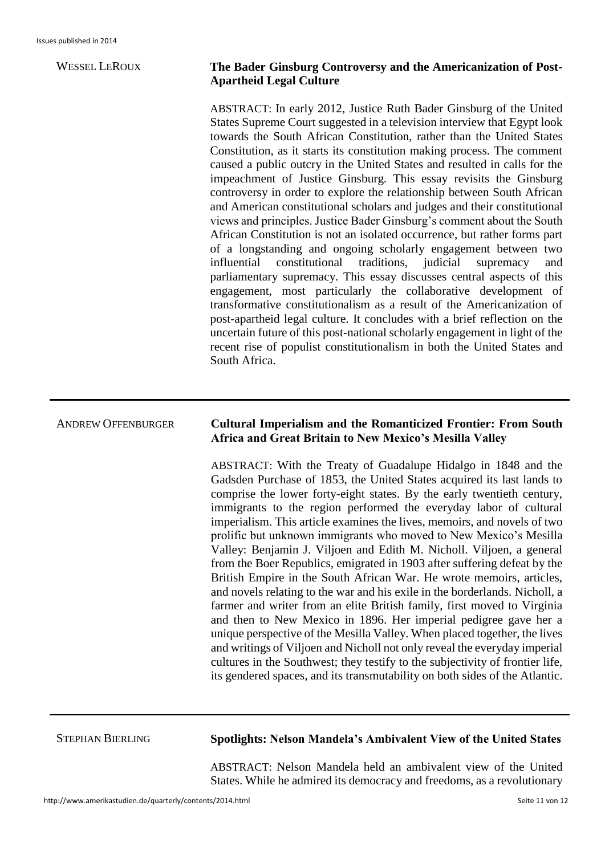### WESSEL LEROUX **The Bader Ginsburg Controversy and the Americanization of Post-Apartheid Legal Culture**

ABSTRACT: In early 2012, Justice Ruth Bader Ginsburg of the United States Supreme Court suggested in a television interview that Egypt look towards the South African Constitution, rather than the United States Constitution, as it starts its constitution making process. The comment caused a public outcry in the United States and resulted in calls for the impeachment of Justice Ginsburg. This essay revisits the Ginsburg controversy in order to explore the relationship between South African and American constitutional scholars and judges and their constitutional views and principles. Justice Bader Ginsburg's comment about the South African Constitution is not an isolated occurrence, but rather forms part of a longstanding and ongoing scholarly engagement between two influential constitutional traditions, judicial supremacy and parliamentary supremacy. This essay discusses central aspects of this engagement, most particularly the collaborative development of transformative constitutionalism as a result of the Americanization of post-apartheid legal culture. It concludes with a brief reflection on the uncertain future of this post-national scholarly engagement in light of the recent rise of populist constitutionalism in both the United States and South Africa.

### ANDREW OFFENBURGER **Cultural Imperialism and the Romanticized Frontier: From South Africa and Great Britain to New Mexico's Mesilla Valley**

ABSTRACT: With the Treaty of Guadalupe Hidalgo in 1848 and the Gadsden Purchase of 1853, the United States acquired its last lands to comprise the lower forty-eight states. By the early twentieth century, immigrants to the region performed the everyday labor of cultural imperialism. This article examines the lives, memoirs, and novels of two prolific but unknown immigrants who moved to New Mexico's Mesilla Valley: Benjamin J. Viljoen and Edith M. Nicholl. Viljoen, a general from the Boer Republics, emigrated in 1903 after suffering defeat by the British Empire in the South African War. He wrote memoirs, articles, and novels relating to the war and his exile in the borderlands. Nicholl, a farmer and writer from an elite British family, first moved to Virginia and then to New Mexico in 1896. Her imperial pedigree gave her a unique perspective of the Mesilla Valley. When placed together, the lives and writings of Viljoen and Nicholl not only reveal the everyday imperial cultures in the Southwest; they testify to the subjectivity of frontier life, its gendered spaces, and its transmutability on both sides of the Atlantic.

### STEPHAN BIERLING **Spotlights: Nelson Mandela's Ambivalent View of the United States**

ABSTRACT: Nelson Mandela held an ambivalent view of the United States. While he admired its democracy and freedoms, as a revolutionary